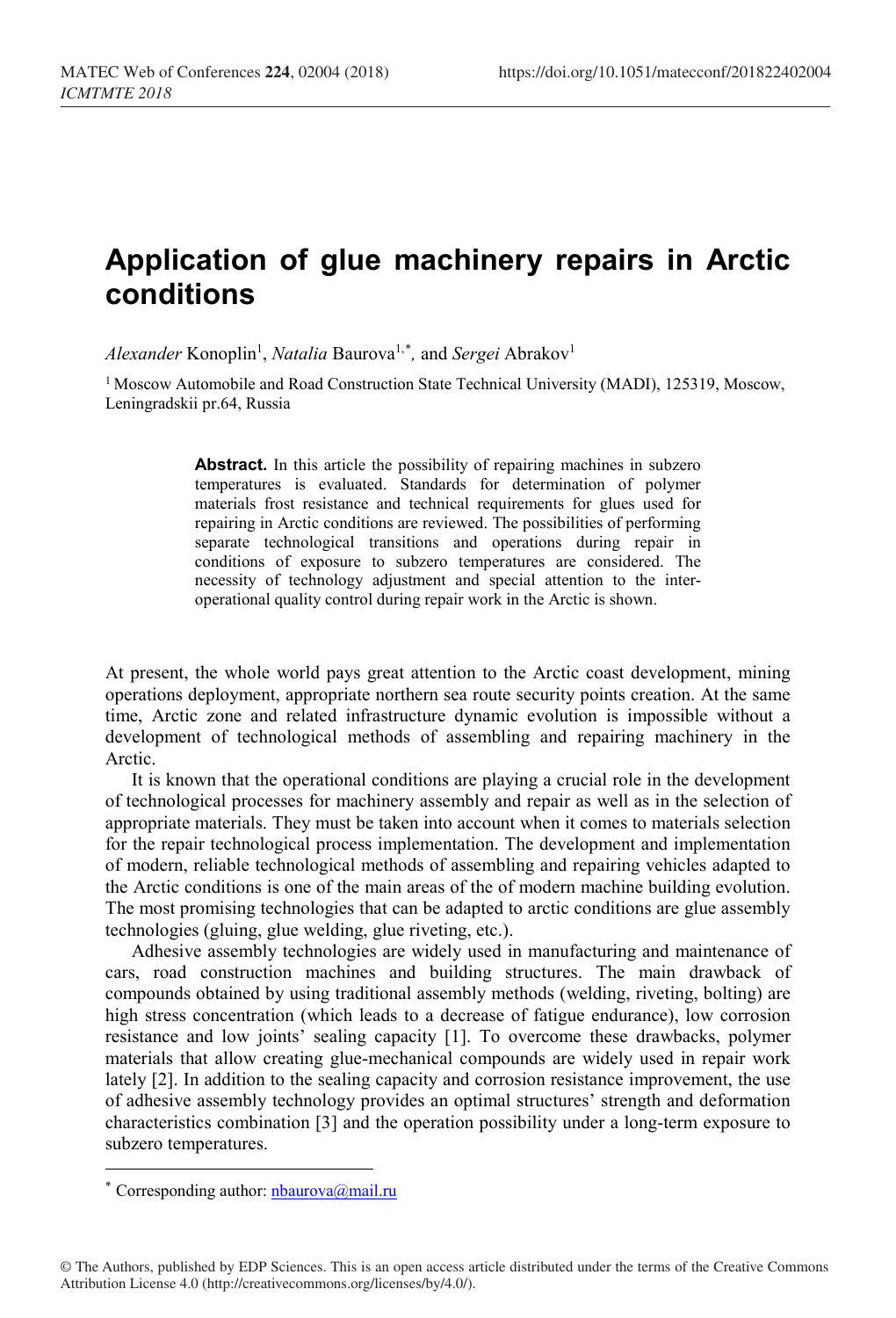## **Application of glue machinery repairs in Arctic conditions**

 $Alexander$  Konoplin<sup>1</sup>, *Natalia* Baurova<sup>1,[\\*](#page-0-0)</sup>, and *Sergei* Abrakov<sup>1</sup>

<sup>1</sup> Moscow Automobile and Road Construction State Technical University (MADI), 125319, Moscow, Leningradskii pr.64, Russia

> Abstract. In this article the possibility of repairing machines in subzero temperatures is evaluated. Standards for determination of polymer materials frost resistance and technical requirements for glues used for repairing in Arctic conditions are reviewed. The possibilities of performing separate technological transitions and operations during repair in conditions of exposure to subzero temperatures are considered. The necessity of technology adjustment and special attention to the interoperational quality control during repair work in the Arctic is shown.

At present, the whole world pays great attention to the Arctic coast development, mining operations deployment, appropriate northern sea route security points creation. At the same time, Arctic zone and related infrastructure dynamic evolution is impossible without a development of technological methods of assembling and repairing machinery in the Arctic.

It is known that the operational conditions are playing a crucial role in the development of technological processes for machinery assembly and repair as well as in the selection of appropriate materials. They must be taken into account when it comes to materials selection for the repair technological process implementation. The development and implementation of modern, reliable technological methods of assembling and repairing vehicles adapted to the Arctic conditions is one of the main areas of the of modern machine building evolution. The most promising technologies that can be adapted to arctic conditions are glue assembly technologies (gluing, glue welding, glue riveting, etc.).

Adhesive assembly technologies are widely used in manufacturing and maintenance of cars, road construction machines and building structures. The main drawback of compounds obtained by using traditional assembly methods (welding, riveting, bolting) are high stress concentration (which leads to a decrease of fatigue endurance), low corrosion resistance and low joints' sealing capacity [1]. To overcome these drawbacks, polymer materials that allow creating glue-mechanical compounds are widely used in repair work lately [2]. In addition to the sealing capacity and corrosion resistance improvement, the use of adhesive assembly technology provides an optimal structures' strength and deformation characteristics combination [3] and the operation possibility under a long-term exposure to subzero temperatures.

 $\overline{a}$ 

<span id="page-0-0"></span><sup>\*</sup> Corresponding author: *nbaurova@mail.ru*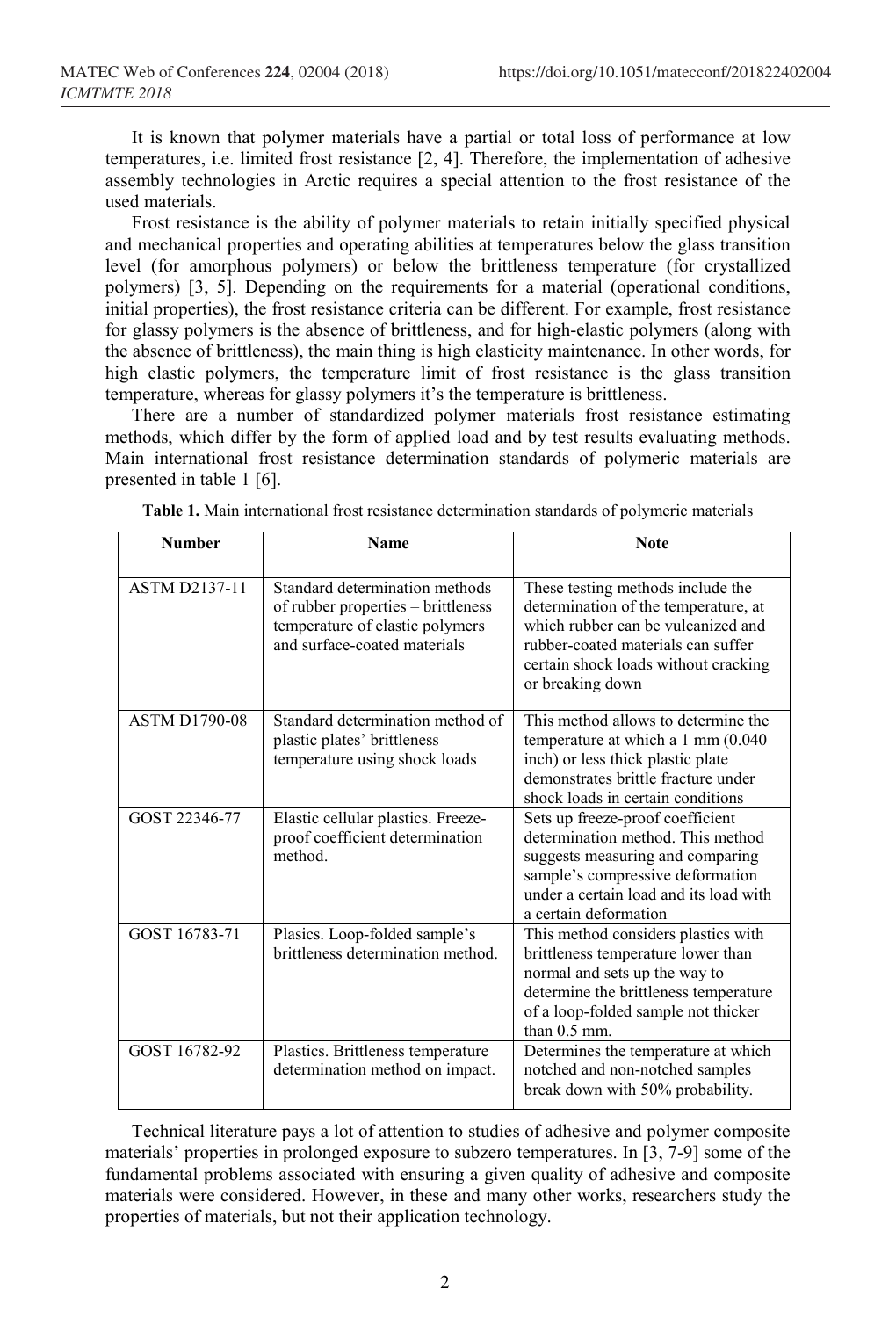It is known that polymer materials have a partial or total loss of performance at low temperatures, i.e. limited frost resistance [2, 4]. Therefore, the implementation of adhesive assembly technologies in Arctic requires a special attention to the frost resistance of the used materials.

Frost resistance is the ability of polymer materials to retain initially specified physical and mechanical properties and operating abilities at temperatures below the glass transition level (for amorphous polymers) or below the brittleness temperature (for crystallized polymers) [3, 5]. Depending on the requirements for a material (operational conditions, initial properties), the frost resistance criteria can be different. For example, frost resistance for glassy polymers is the absence of brittleness, and for high-elastic polymers (along with the absence of brittleness), the main thing is high elasticity maintenance. In other words, for high elastic polymers, the temperature limit of frost resistance is the glass transition temperature, whereas for glassy polymers it's the temperature is brittleness.

There are a number of standardized polymer materials frost resistance estimating methods, which differ by the form of applied load and by test results evaluating methods. Main international frost resistance determination standards of polymeric materials are presented in table 1 [6].

| <b>Number</b>        | Name                                                                                                                                    | <b>Note</b>                                                                                                                                                                                                       |
|----------------------|-----------------------------------------------------------------------------------------------------------------------------------------|-------------------------------------------------------------------------------------------------------------------------------------------------------------------------------------------------------------------|
| <b>ASTM D2137-11</b> | Standard determination methods<br>of rubber properties - brittleness<br>temperature of elastic polymers<br>and surface-coated materials | These testing methods include the<br>determination of the temperature, at<br>which rubber can be vulcanized and<br>rubber-coated materials can suffer<br>certain shock loads without cracking<br>or breaking down |
| <b>ASTM D1790-08</b> | Standard determination method of<br>plastic plates' brittleness<br>temperature using shock loads                                        | This method allows to determine the<br>temperature at which a 1 mm (0.040<br>inch) or less thick plastic plate<br>demonstrates brittle fracture under<br>shock loads in certain conditions                        |
| GOST 22346-77        | Elastic cellular plastics. Freeze-<br>proof coefficient determination<br>method.                                                        | Sets up freeze-proof coefficient<br>determination method. This method<br>suggests measuring and comparing<br>sample's compressive deformation<br>under a certain load and its load with<br>a certain deformation  |
| GOST 16783-71        | Plasics. Loop-folded sample's<br>brittleness determination method.                                                                      | This method considers plastics with<br>brittleness temperature lower than<br>normal and sets up the way to<br>determine the brittleness temperature<br>of a loop-folded sample not thicker<br>than $0.5$ mm.      |
| GOST 16782-92        | Plastics. Brittleness temperature<br>determination method on impact.                                                                    | Determines the temperature at which<br>notched and non-notched samples<br>break down with 50% probability.                                                                                                        |

**Table 1.** Main international frost resistance determination standards of polymeric materials

Technical literature pays a lot of attention to studies of adhesive and polymer composite materials' properties in prolonged exposure to subzero temperatures. In [3, 7-9] some of the fundamental problems associated with ensuring a given quality of adhesive and composite materials were considered. However, in these and many other works, researchers study the properties of materials, but not their application technology.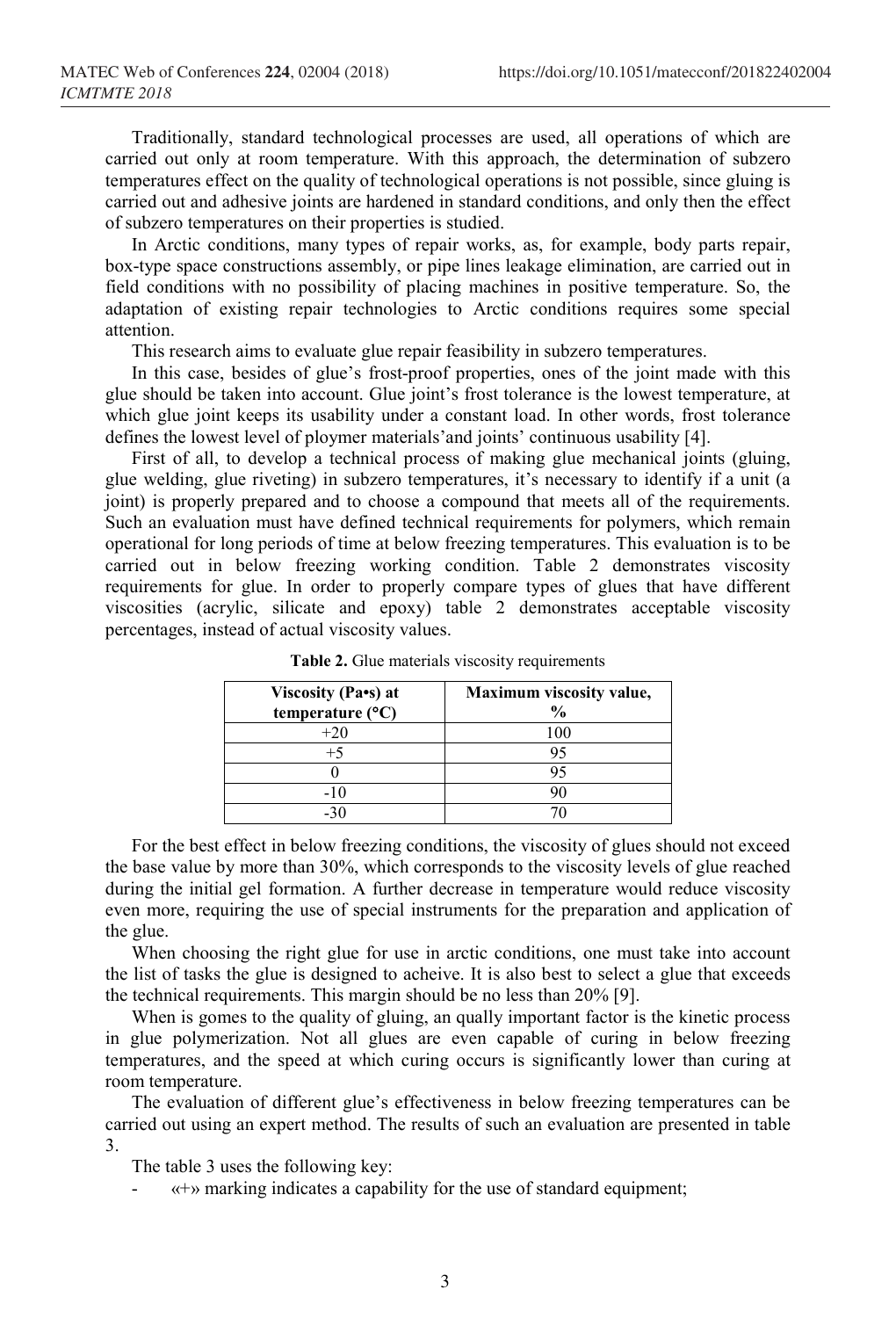Traditionally, standard technological processes are used, all operations of which are carried out only at room temperature. With this approach, the determination of subzero temperatures effect on the quality of technological operations is not possible, since gluing is carried out and adhesive joints are hardened in standard conditions, and only then the effect of subzero temperatures on their properties is studied.

In Arctic conditions, many types of repair works, as, for example, body parts repair, box-type space constructions assembly, or pipe lines leakage elimination, are carried out in field conditions with no possibility of placing machines in positive temperature. So, the adaptation of existing repair technologies to Arctic conditions requires some special attention.

This research aims to evaluate glue repair feasibility in subzero temperatures.

In this case, besides of glue's frost-proof properties, ones of the joint made with this glue should be taken into account. Glue joint's frost tolerance is the lowest temperature, at which glue joint keeps its usability under a constant load. In other words, frost tolerance defines the lowest level of ploymer materials'and joints' continuous usability [4].

First of all, to develop a technical process of making glue mechanical joints (gluing, glue welding, glue riveting) in subzero temperatures, it's necessary to identify if a unit (a joint) is properly prepared and to choose a compound that meets all of the requirements. Such an evaluation must have defined technical requirements for polymers, which remain operational for long periods of time at below freezing temperatures. This evaluation is to be carried out in below freezing working condition. Table 2 demonstrates viscosity requirements for glue. In order to properly compare types of glues that have different viscosities (acrylic, silicate and epoxy) table 2 demonstrates acceptable viscosity percentages, instead of actual viscosity values.

| Viscosity (Pa•s) at<br>temperature $(^{\circ}C)$ | Maximum viscosity value,<br>$\frac{6}{9}$ |
|--------------------------------------------------|-------------------------------------------|
| $+20$                                            | 100                                       |
| $+5$                                             |                                           |
|                                                  |                                           |
|                                                  |                                           |
|                                                  |                                           |

**Table 2.** Glue materials viscosity requirements

For the best effect in below freezing conditions, the viscosity of glues should not exceed the base value by more than 30%, which corresponds to the viscosity levels of glue reached during the initial gel formation. A further decrease in temperature would reduce viscosity even more, requiring the use of special instruments for the preparation and application of the glue.

When choosing the right glue for use in arctic conditions, one must take into account the list of tasks the glue is designed to acheive. It is also best to select a glue that exceeds the technical requirements. This margin should be no less than 20% [9].

When is gomes to the quality of gluing, an qually important factor is the kinetic process in glue polymerization. Not all glues are even capable of curing in below freezing temperatures, and the speed at which curing occurs is significantly lower than curing at room temperature.

The evaluation of different glue's effectiveness in below freezing temperatures can be carried out using an expert method. The results of such an evaluation are presented in table 3.

The table 3 uses the following key:

- «+» marking indicates a capability for the use of standard equipment;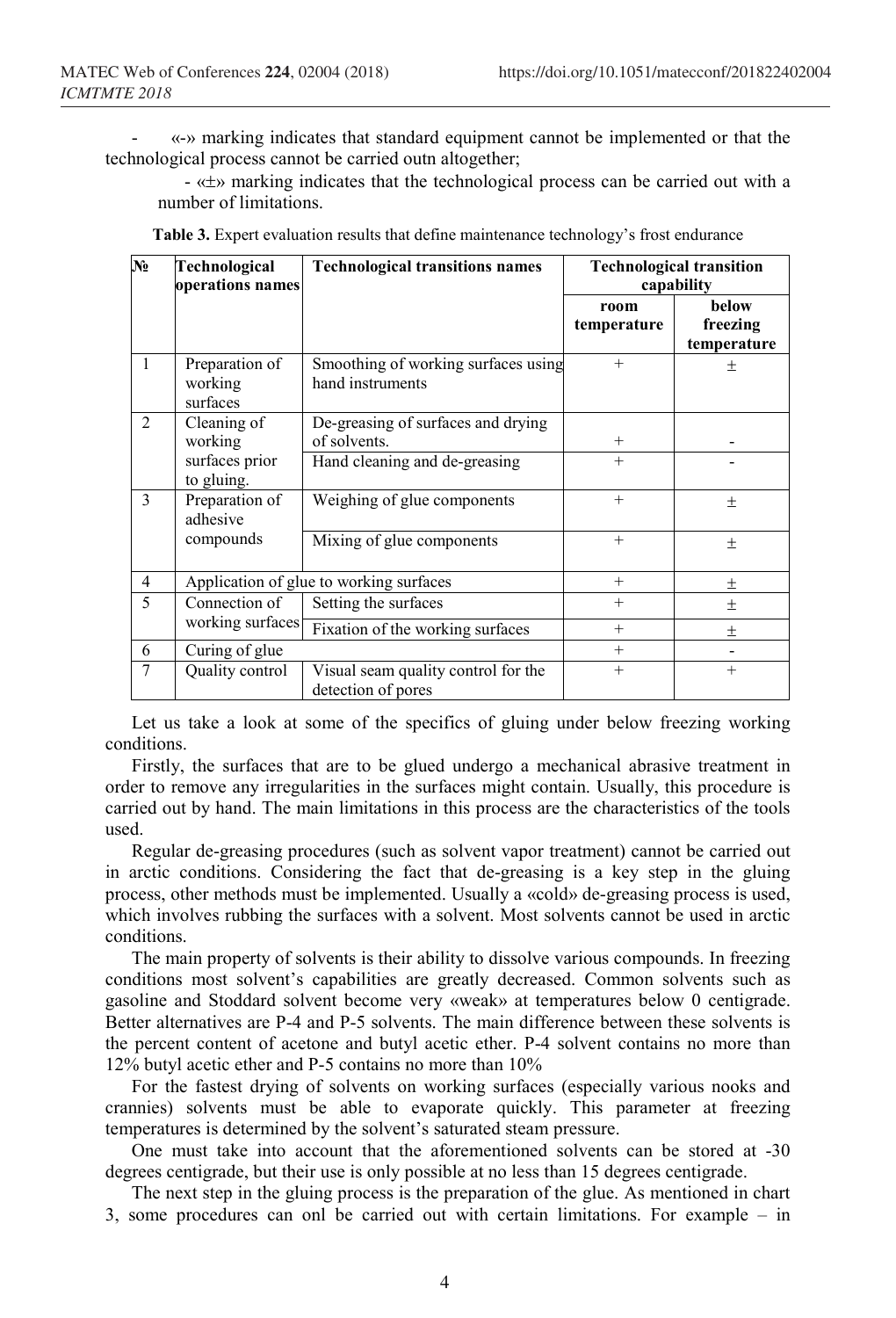- «-» marking indicates that standard equipment cannot be implemented or that the technological process cannot be carried outn altogether;

- «±» marking indicates that the technological process can be carried out with a number of limitations.

| $\overline{\mathbf{N}\mathbf{e}}$ | Technological<br>operations names     | <b>Technological transitions names</b>                    | <b>Technological transition</b><br>capability |                                  |
|-----------------------------------|---------------------------------------|-----------------------------------------------------------|-----------------------------------------------|----------------------------------|
|                                   |                                       |                                                           | room<br>temperature                           | below<br>freezing<br>temperature |
| 1                                 | Preparation of<br>working<br>surfaces | Smoothing of working surfaces using<br>hand instruments   | $+$                                           | $^+$                             |
| $\overline{2}$                    | Cleaning of<br>working                | De-greasing of surfaces and drying<br>of solvents.        | $^{+}$                                        |                                  |
|                                   | surfaces prior<br>to gluing.          | Hand cleaning and de-greasing                             | $^{+}$                                        |                                  |
| 3                                 | Preparation of<br>adhesive            | Weighing of glue components                               | $^{+}$                                        | $_{\pm}$                         |
|                                   | compounds                             | Mixing of glue components                                 | $^{+}$                                        | $\pm$                            |
| $\overline{4}$                    |                                       | Application of glue to working surfaces                   |                                               | $\pm$                            |
| 5                                 | Connection of                         | Setting the surfaces                                      | $^{+}$                                        | 士                                |
|                                   | working surfaces                      | Fixation of the working surfaces                          | $+$                                           | $\pm$                            |
| 6                                 | Curing of glue                        |                                                           | $^{+}$                                        |                                  |
| 7                                 | Quality control                       | Visual seam quality control for the<br>detection of pores | $+$                                           | $+$                              |

**Table 3.** Expert evaluation results that define maintenance technology's frost endurance

Let us take a look at some of the specifics of gluing under below freezing working conditions.

Firstly, the surfaces that are to be glued undergo a mechanical abrasive treatment in order to remove any irregularities in the surfaces might contain. Usually, this procedure is carried out by hand. The main limitations in this process are the characteristics of the tools used.

Regular de-greasing procedures (such as solvent vapor treatment) cannot be carried out in arctic conditions. Considering the fact that de-greasing is a key step in the gluing process, other methods must be implemented. Usually a «cold» de-greasing process is used, which involves rubbing the surfaces with a solvent. Most solvents cannot be used in arctic conditions.

The main property of solvents is their ability to dissolve various compounds. In freezing conditions most solvent's capabilities are greatly decreased. Common solvents such as gasoline and Stoddard solvent become very «weak» at temperatures below 0 centigrade. Better alternatives are P-4 and P-5 solvents. The main difference between these solvents is the percent content of acetone and butyl acetic ether. P-4 solvent contains no more than 12% butyl acetic ether and P-5 contains no more than 10%

For the fastest drying of solvents on working surfaces (especially various nooks and crannies) solvents must be able to evaporate quickly. This parameter at freezing temperatures is determined by the solvent's saturated steam pressure.

One must take into account that the aforementioned solvents can be stored at -30 degrees centigrade, but their use is only possible at no less than 15 degrees centigrade.

The next step in the gluing process is the preparation of the glue. As mentioned in chart 3, some procedures can onl be carried out with certain limitations. For example – in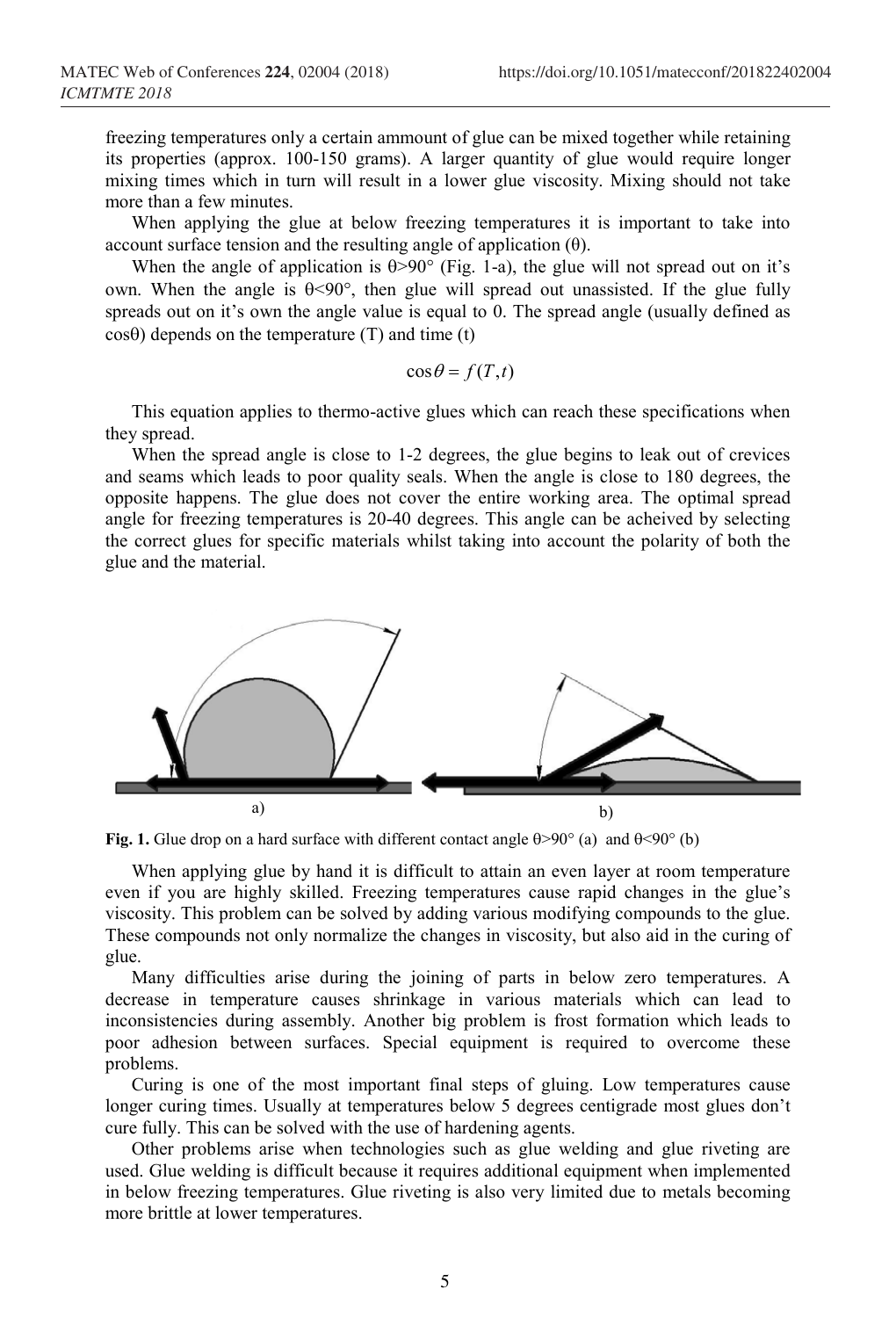freezing temperatures only a certain ammount of glue can be mixed together while retaining its properties (approx. 100-150 grams). A larger quantity of glue would require longer mixing times which in turn will result in a lower glue viscosity. Mixing should not take more than a few minutes.

When applying the glue at below freezing temperatures it is important to take into account surface tension and the resulting angle of application  $(θ)$ .

When the angle of application is  $\theta > 90^\circ$  (Fig. 1-a), the glue will not spread out on it's own. When the angle is  $\theta$ <90°, then glue will spread out unassisted. If the glue fully spreads out on it's own the angle value is equal to 0. The spread angle (usually defined as  $\cos\theta$ ) depends on the temperature (T) and time (t)

$$
\cos\theta = f(T,t)
$$

This equation applies to thermo-active glues which can reach these specifications when they spread.

When the spread angle is close to 1-2 degrees, the glue begins to leak out of crevices and seams which leads to poor quality seals. When the angle is close to 180 degrees, the opposite happens. The glue does not cover the entire working area. The optimal spread angle for freezing temperatures is 20-40 degrees. This angle can be acheived by selecting the correct glues for specific materials whilst taking into account the polarity of both the glue and the material.



**Fig. 1.** Glue drop on a hard surface with different contact angle θ>90° (а) and θ<90° (b)

When applying glue by hand it is difficult to attain an even layer at room temperature even if you are highly skilled. Freezing temperatures cause rapid changes in the glue's viscosity. This problem can be solved by adding various modifying compounds to the glue. These compounds not only normalize the changes in viscosity, but also aid in the curing of glue.

Many difficulties arise during the joining of parts in below zero temperatures. A decrease in temperature causes shrinkage in various materials which can lead to inconsistencies during assembly. Another big problem is frost formation which leads to poor adhesion between surfaces. Special equipment is required to overcome these problems.

Curing is one of the most important final steps of gluing. Low temperatures cause longer curing times. Usually at temperatures below 5 degrees centigrade most glues don't cure fully. This can be solved with the use of hardening agents.

Other problems arise when technologies such as glue welding and glue riveting are used. Glue welding is difficult because it requires additional equipment when implemented in below freezing temperatures. Glue riveting is also very limited due to metals becoming more brittle at lower temperatures.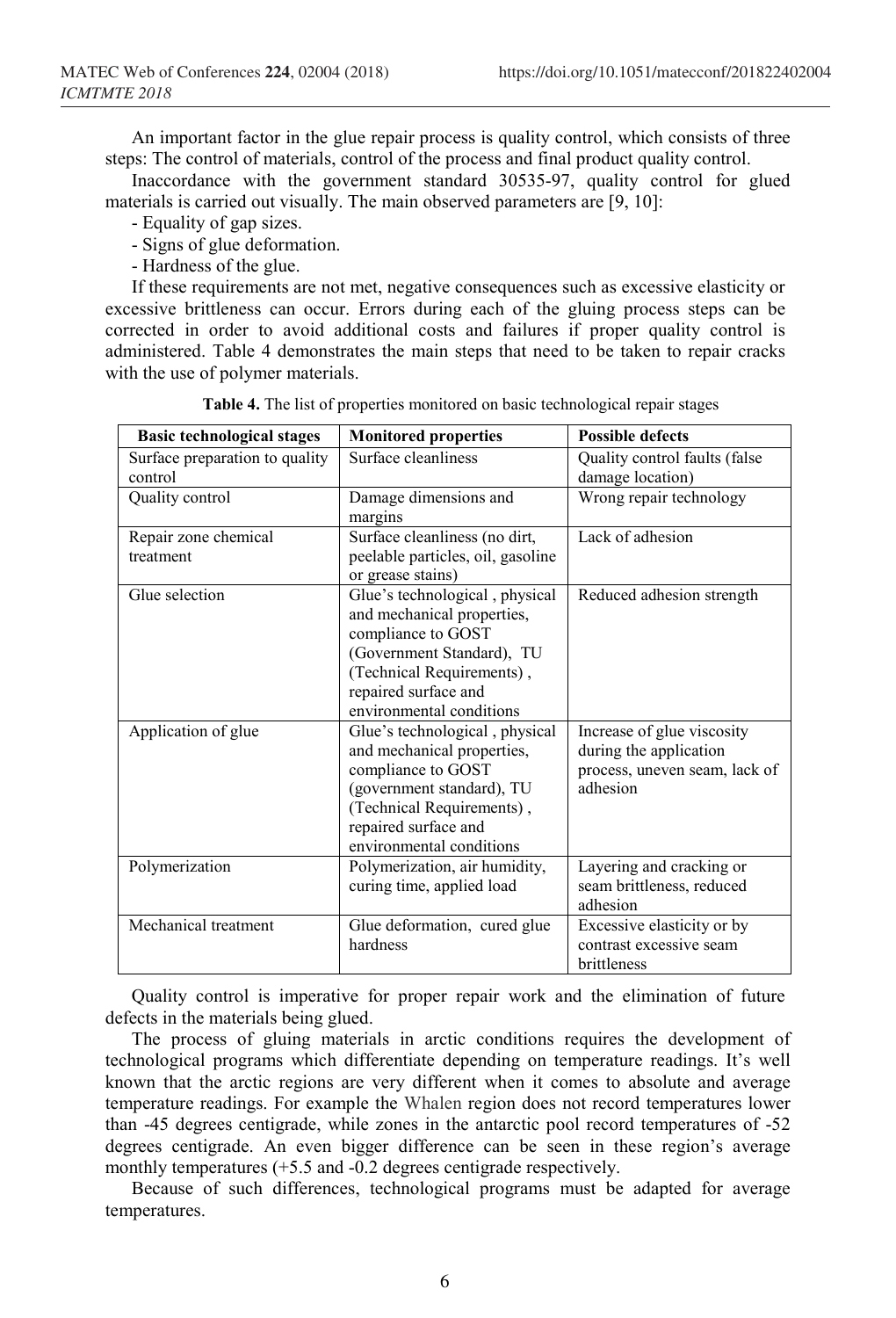An important factor in the glue repair process is quality control, which consists of three steps: The control of materials, control of the process and final product quality control.

Inaccordance with the government standard 30535-97, quality control for glued materials is carried out visually. The main observed parameters are [9, 10]:

- Equality of gap sizes.
- Signs of glue deformation.
- Hardness of the glue.

If these requirements are not met, negative consequences such as excessive elasticity or excessive brittleness can occur. Errors during each of the gluing process steps can be corrected in order to avoid additional costs and failures if proper quality control is administered. Table 4 demonstrates the main steps that need to be taken to repair cracks with the use of polymer materials.

| <b>Basic technological stages</b> | <b>Monitored properties</b>       | <b>Possible defects</b>       |  |
|-----------------------------------|-----------------------------------|-------------------------------|--|
| Surface preparation to quality    | Surface cleanliness               | Quality control faults (false |  |
| control                           |                                   | damage location)              |  |
| Quality control                   | Damage dimensions and             | Wrong repair technology       |  |
|                                   | margins                           |                               |  |
| Repair zone chemical              | Surface cleanliness (no dirt,     | Lack of adhesion              |  |
| treatment                         | peelable particles, oil, gasoline |                               |  |
|                                   | or grease stains)                 |                               |  |
| Glue selection                    | Glue's technological, physical    | Reduced adhesion strength     |  |
|                                   | and mechanical properties,        |                               |  |
|                                   | compliance to GOST                |                               |  |
|                                   | (Government Standard), TU         |                               |  |
|                                   | (Technical Requirements),         |                               |  |
|                                   | repaired surface and              |                               |  |
|                                   | environmental conditions          |                               |  |
| Application of glue               | Glue's technological, physical    | Increase of glue viscosity    |  |
|                                   | and mechanical properties,        | during the application        |  |
|                                   | compliance to GOST                | process, uneven seam, lack of |  |
|                                   | (government standard), TU         | adhesion                      |  |
|                                   | (Technical Requirements),         |                               |  |
|                                   | repaired surface and              |                               |  |
|                                   | environmental conditions          |                               |  |
| Polymerization                    | Polymerization, air humidity,     | Layering and cracking or      |  |
|                                   | curing time, applied load         | seam brittleness, reduced     |  |
|                                   |                                   | adhesion                      |  |
| Mechanical treatment              | Glue deformation, cured glue      | Excessive elasticity or by    |  |
|                                   | hardness                          | contrast excessive seam       |  |
|                                   |                                   | brittleness                   |  |

**Table 4.** The list of properties monitored on basic technological repair stages

Quality control is imperative for proper repair work and the elimination of future defects in the materials being glued.

The process of gluing materials in arctic conditions requires the development of technological programs which differentiate depending on temperature readings. It's well known that the arctic regions are very different when it comes to absolute and average temperature readings. For example the Whalen region does not record temperatures lower than -45 degrees centigrade, while zones in the antarctic pool record temperatures of -52 degrees centigrade. An even bigger difference can be seen in these region's average monthly temperatures (+5.5 and -0.2 degrees centigrade respectively.

Because of such differences, technological programs must be adapted for average temperatures.